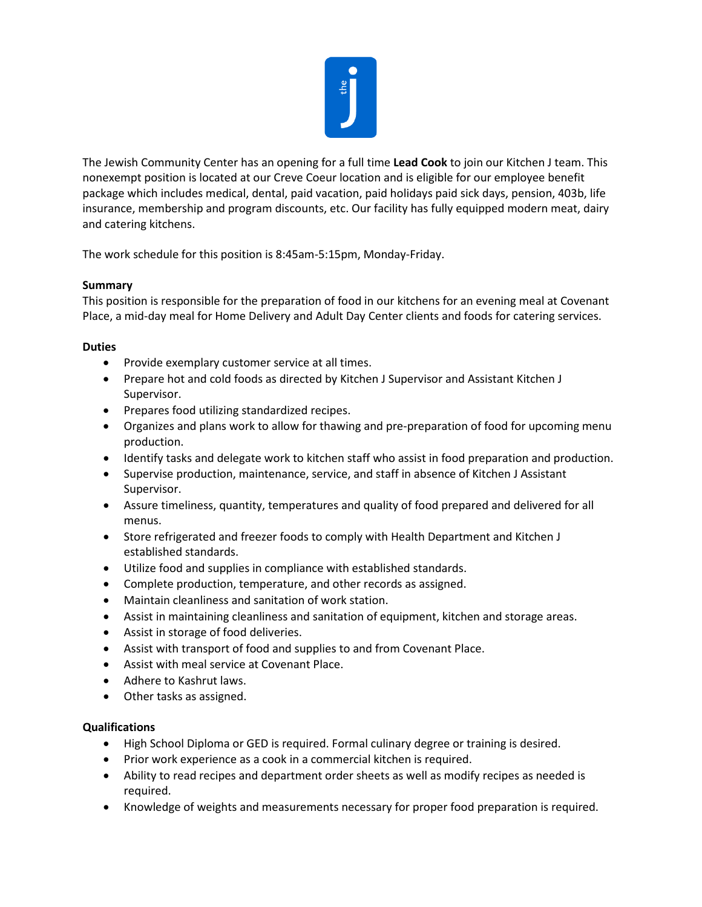

The Jewish Community Center has an opening for a full time **Lead Cook** to join our Kitchen J team. This nonexempt position is located at our Creve Coeur location and is eligible for our employee benefit package which includes medical, dental, paid vacation, paid holidays paid sick days, pension, 403b, life insurance, membership and program discounts, etc. Our facility has fully equipped modern meat, dairy and catering kitchens.

The work schedule for this position is 8:45am-5:15pm, Monday-Friday.

## **Summary**

This position is responsible for the preparation of food in our kitchens for an evening meal at Covenant Place, a mid-day meal for Home Delivery and Adult Day Center clients and foods for catering services.

## **Duties**

- Provide exemplary customer service at all times.
- Prepare hot and cold foods as directed by Kitchen J Supervisor and Assistant Kitchen J Supervisor.
- Prepares food utilizing standardized recipes.
- Organizes and plans work to allow for thawing and pre-preparation of food for upcoming menu production.
- Identify tasks and delegate work to kitchen staff who assist in food preparation and production.
- Supervise production, maintenance, service, and staff in absence of Kitchen J Assistant Supervisor.
- Assure timeliness, quantity, temperatures and quality of food prepared and delivered for all menus.
- Store refrigerated and freezer foods to comply with Health Department and Kitchen J established standards.
- Utilize food and supplies in compliance with established standards.
- Complete production, temperature, and other records as assigned.
- Maintain cleanliness and sanitation of work station.
- Assist in maintaining cleanliness and sanitation of equipment, kitchen and storage areas.
- Assist in storage of food deliveries.
- Assist with transport of food and supplies to and from Covenant Place.
- Assist with meal service at Covenant Place.
- Adhere to Kashrut laws.
- Other tasks as assigned.

## **Qualifications**

- High School Diploma or GED is required. Formal culinary degree or training is desired.
- Prior work experience as a cook in a commercial kitchen is required.
- Ability to read recipes and department order sheets as well as modify recipes as needed is required.
- Knowledge of weights and measurements necessary for proper food preparation is required.